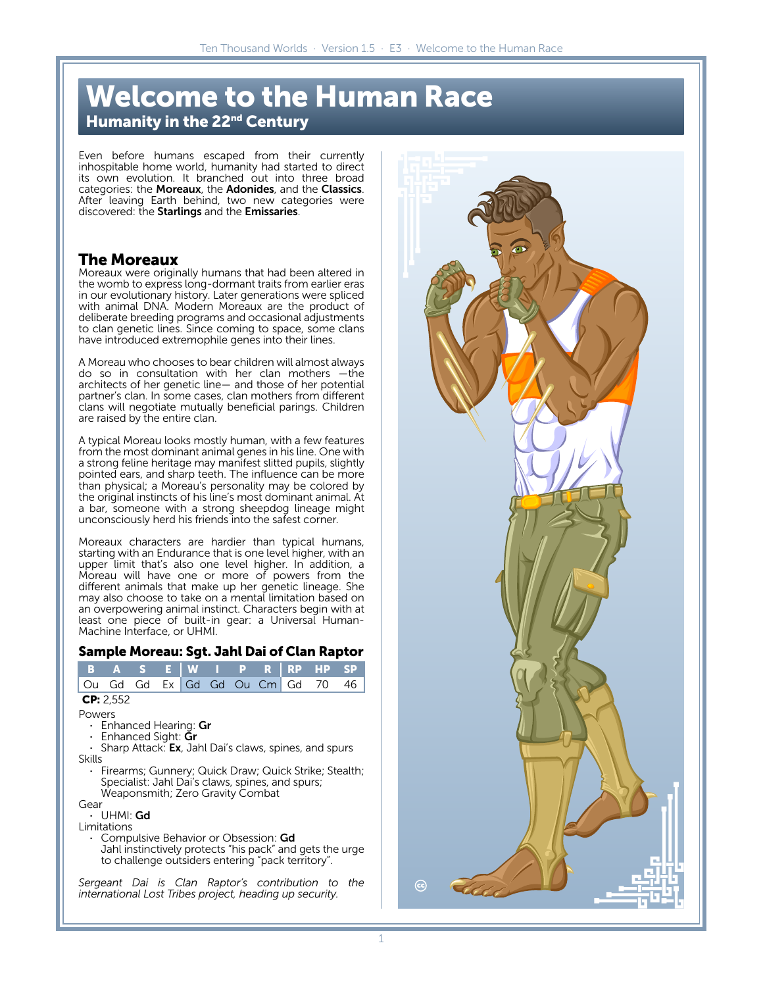# **Welcome to the Human Race Humanity in the 22nd Century**

Even before humans escaped from their currently inhospitable home world, humanity had started to direct its own evolution. It branched out into three broad categories: the Moreaux, the Adonides, and the Classics. After leaving Earth behind, two new categories were discovered: the Starlings and the Emissaries.

# **The Moreaux**

Moreaux were originally humans that had been altered in the womb to express long-dormant traits from earlier eras in our evolutionary history. Later generations were spliced with animal DNA. Modern Moreaux are the product of deliberate breeding programs and occasional adjustments to clan genetic lines. Since coming to space, some clans have introduced extremophile genes into their lines.

A Moreau who chooses to bear children will almost always do so in consultation with her clan mothers —the architects of her genetic line— and those of her potential partner's clan. In some cases, clan mothers from different clans will negotiate mutually beneficial parings. Children are raised by the entire clan.

A typical Moreau looks mostly human, with a few features from the most dominant animal genes in his line. One with a strong feline heritage may manifest slitted pupils, slightly pointed ears, and sharp teeth. The influence can be more than physical; a Moreau's personality may be colored by the original instincts of his line's most dominant animal. At a bar, someone with a strong sheepdog lineage might unconsciously herd his friends into the safest corner.

Moreaux characters are hardier than typical humans, starting with an Endurance that is one level higher, with an upper limit that's also one level higher. In addition, a Moreau will have one or more of powers from the different animals that make up her genetic lineage. She may also choose to take on a mental limitation based on an overpowering animal instinct. Characters begin with at least one piece of built-in gear: a Universal Human-Machine Interface, or UHMI.

#### **Sample Moreau: Sgt. Jahl Dai of Clan Raptor**

| в                                                                                                                                                                                                                                                                                                  | A         | S. | Е    | W  |    | P  | R    | RP | НP                                                                                                       | SP  |
|----------------------------------------------------------------------------------------------------------------------------------------------------------------------------------------------------------------------------------------------------------------------------------------------------|-----------|----|------|----|----|----|------|----|----------------------------------------------------------------------------------------------------------|-----|
| ( )u                                                                                                                                                                                                                                                                                               | Gd        | Gd | Ex I | Gd | Gd | Ou | Cm l | Gd | 70                                                                                                       | 46  |
|                                                                                                                                                                                                                                                                                                    | CP: 2.552 |    |      |    |    |    |      |    |                                                                                                          |     |
| Powers<br>• Enhanced Hearing: $\mathsf{Gr}$<br>Enhanced Sight: Gr<br>×.<br>• Sharp Attack: $Ex$ , Jahl Dai's claws, spines, and spurs<br>Skills<br>• Firearms; Gunnery; Quick Draw; Quick Strike; Stealth;<br>Specialist: Jahl Dai's claws, spines, and spurs;<br>Weaponsmith; Zero Gravity Combat |           |    |      |    |    |    |      |    |                                                                                                          |     |
| Gear<br>• UHMI: <b>Gd</b><br>Limitations<br>• Compulsive Behavior or Obsession: Gd<br>Jahl instinctively protects "his pack" and gets the urge<br>to challenge outsiders entering "pack territory".                                                                                                |           |    |      |    |    |    |      |    |                                                                                                          |     |
|                                                                                                                                                                                                                                                                                                    |           |    |      |    |    |    |      |    | Sergeant Dai is Clan Raptor's contribution to<br>international Lost Tribes project, heading up security. | the |

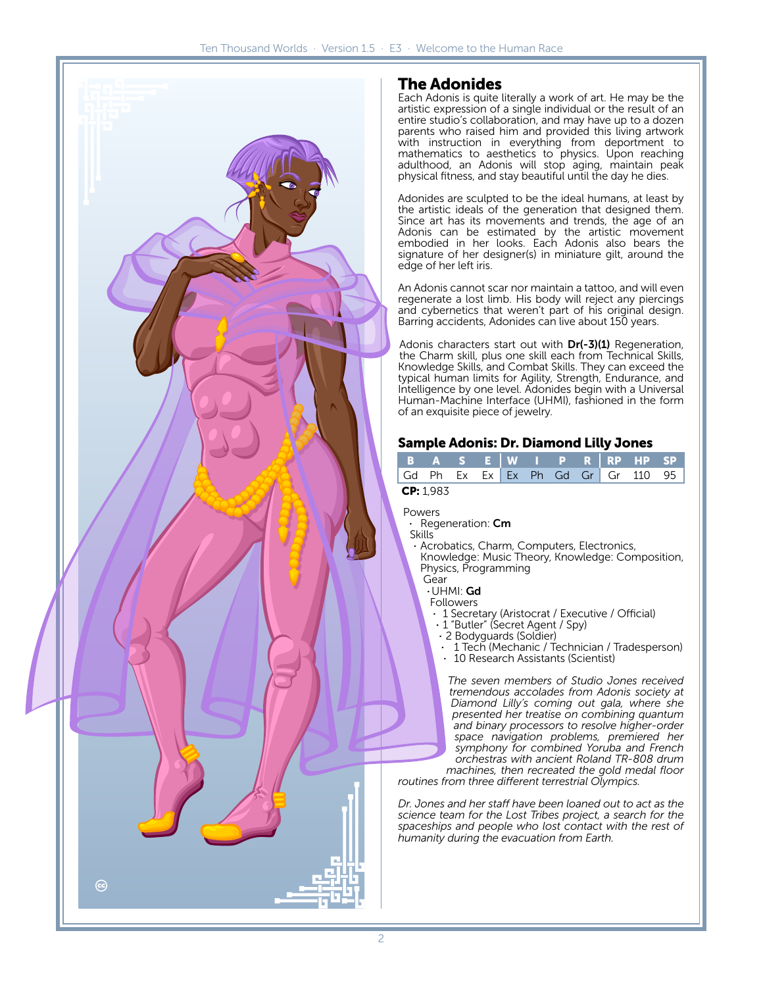

# **The Adonides**

Each Adonis is quite literally a work of art. He may be the artistic expression of a single individual or the result of an entire studio's collaboration, and may have up to a dozen parents who raised him and provided this living artwork with instruction in everything from deportment to mathematics to aesthetics to physics. Upon reaching adulthood, an Adonis will stop aging, maintain peak physical fitness, and stay beautiful until the day he dies.

Adonides are sculpted to be the ideal humans, at least by the artistic ideals of the generation that designed them. Since art has its movements and trends, the age of an Adonis can be estimated by the artistic movement embodied in her looks. Each Adonis also bears the signature of her designer(s) in miniature gilt, around the edge of her left iris.

An Adonis cannot scar nor maintain a tattoo, and will even regenerate a lost limb. His body will reject any piercings and cybernetics that weren't part of his original design. Barring accidents, Adonides can live about 150 years.

Adonis characters start out with Dr(-3)(1) Regeneration, the Charm skill, plus one skill each from Technical Skills, Knowledge Skills, and Combat Skills. They can exceed the typical human limits for Agility, Strength, Endurance, and Intelligence by one level. Adonides begin with a Universal Human-Machine Interface (UHMI), fashioned in the form of an exquisite piece of jewelry.

#### **Sample Adonis: Dr. Diamond Lilly Jones**

|           |  |  |  |  |  |  |  |  | BASE WI_PR RPHPSP <sup> </sup>    |  |
|-----------|--|--|--|--|--|--|--|--|-----------------------------------|--|
|           |  |  |  |  |  |  |  |  | Gd Ph Ex Ex Ex Ph Gd Gr Gr 110 95 |  |
| CP: 1.983 |  |  |  |  |  |  |  |  |                                   |  |

Powers

· Regeneration: Cm

Skills

Acrobatics, Charm, Computers, Electronics, Knowledge: Music Theory, Knowledge: Composition, Physics, Programming

Gear

·UHMI: Gd

Followers

- · 1 Secretary (Aristocrat / Executive / Official)
- · 1 "Butler" (Secret Agent / Spy)
- · 2 Bodyguards (Soldier)
- · 1 Tech (Mechanic / Technician / Tradesperson) 10 Research Assistants (Scientist)

*The seven members of Studio Jones received tremendous accolades from Adonis society at Diamond Lilly's coming out gala, where she presented her treatise on combining quantum and binary processors to resolve higher-order space navigation problems, premiered her symphony for combined Yoruba and French orchestras with ancient Roland TR-808 drum machines, then recreated the gold medal floor*

*routines from three different terrestrial Olympics.*

*Dr. Jones and her staff have been loaned out to act as the science team for the Lost Tribes project, a search for the spaceships and people who lost contact with the rest of humanity during the evacuation from Earth.*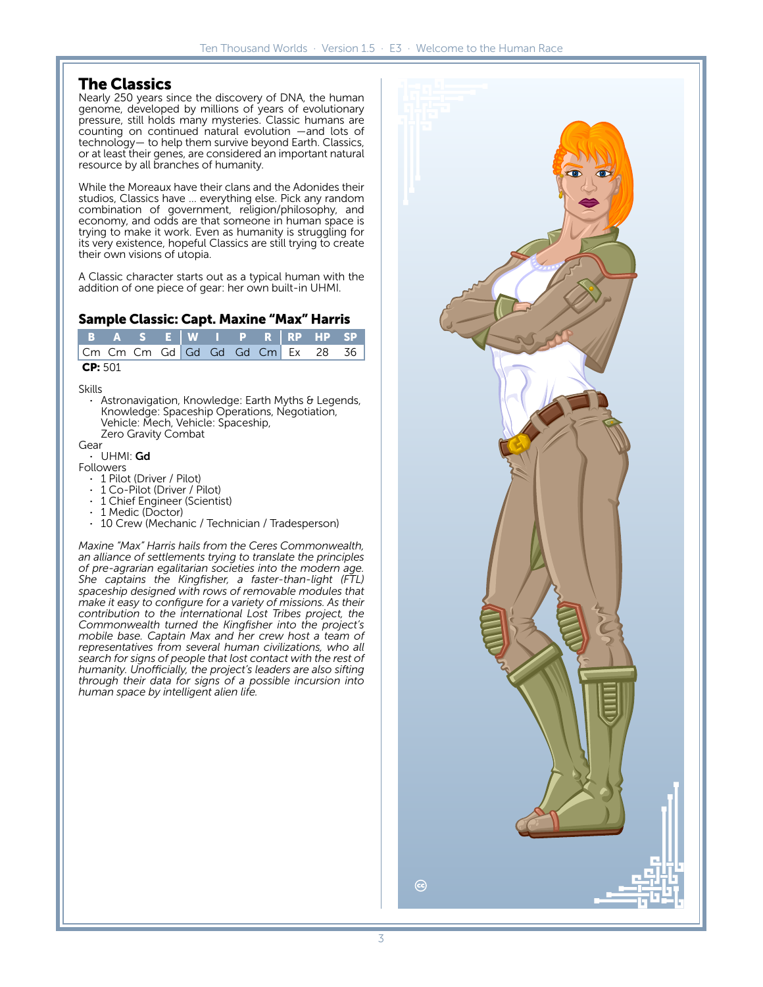## **The Classics**

Nearly 250 years since the discovery of DNA, the human genome, developed by millions of years of evolutionary pressure, still holds many mysteries. Classic humans are counting on continued natural evolution —and lots of technology— to help them survive beyond Earth. Classics, or at least their genes, are considered an important natural resource by all branches of humanity.

While the Moreaux have their clans and the Adonides their studios, Classics have … everything else. Pick any random combination of government, religion/philosophy, and economy, and odds are that someone in human space is trying to make it work. Even as humanity is struggling for its very existence, hopeful Classics are still trying to create their own visions of utopia.

A Classic character starts out as a typical human with the addition of one piece of gear: her own built-in UHMI.

#### **Sample Classic: Capt. Maxine "Max" Harris**

|         |  |  |  |  |  |  |  |  | B A S E W I P R RP HP SP         |  |
|---------|--|--|--|--|--|--|--|--|----------------------------------|--|
|         |  |  |  |  |  |  |  |  | Cm Cm Cm Gd Gd Gd Gd Cm Ex 28 36 |  |
| CP: 501 |  |  |  |  |  |  |  |  |                                  |  |

#### Skills

Astronavigation, Knowledge: Earth Myths & Legends, Knowledge: Spaceship Operations, Negotiation, Vehicle: Mech, Vehicle: Spaceship, Zero Gravity Combat

#### Gear

### UHMI: Gd

Followers

- · 1 Pilot (Driver / Pilot)
- · 1 Co-Pilot (Driver / Pilot)
- · 1 Chief Engineer (Scientist)<br>· 1 Medic (Doctor)
- 1 Medic (Doctor)
- 10 Crew (Mechanic / Technician / Tradesperson)

*Maxine "Max" Harris hails from the Ceres Commonwealth, an alliance of settlements trying to translate the principles of pre-agrarian egalitarian societies into the modern age. She captains the Kingfisher, a faster-than-light (FTL) spaceship designed with rows of removable modules that make it easy to configure for a variety of missions. As their contribution to the international Lost Tribes project, the Commonwealth turned the Kingfisher into the project's mobile base. Captain Max and her crew host a team of representatives from several human civilizations, who all search for signs of people that lost contact with the rest of humanity. Unofficially, the project's leaders are also sifting through their data for signs of a possible incursion into human space by intelligent alien life.*

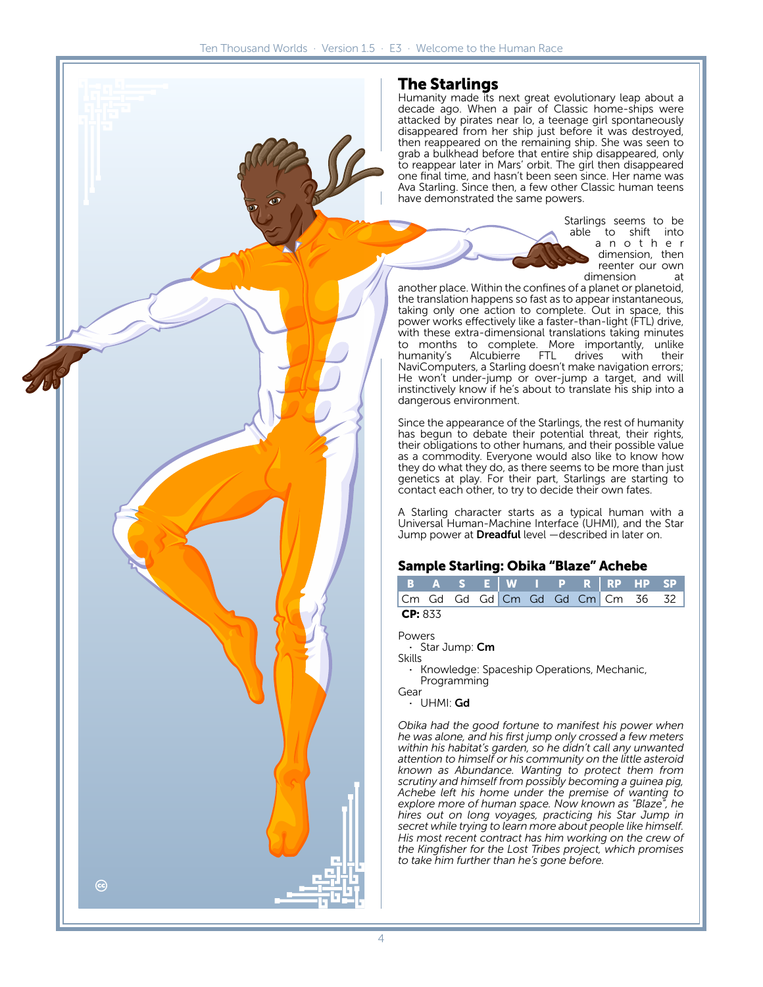# **The Starlings**

Humanity made its next great evolutionary leap about a decade ago. When a pair of Classic home-ships were attacked by pirates near Io, a teenage girl spontaneously disappeared from her ship just before it was destroyed, then reappeared on the remaining ship. She was seen to grab a bulkhead before that entire ship disappeared, only to reappear later in Mars' orbit. The girl then disappeared one final time, and hasn't been seen since. Her name was Ava Starling. Since then, a few other Classic human teens have demonstrated the same powers.

> Starlings seems to be able to shift into a n o t h e r dimension, then reenter our own dimension at

another place. Within the confines of a planet or planetoid, the translation happens so fast as to appear instantaneous, taking only one action to complete. Out in space, this power works effectively like a faster-than-light (FTL) drive, with these extra-dimensional translations taking minutes to months to complete. More importantly, unlike<br>humanity's Alcubierre FTL drives with their Alcubierre NaviComputers, a Starling doesn't make navigation errors; He won't under-jump or over-jump a target, and will instinctively know if he's about to translate his ship into a dangerous environment.

Since the appearance of the Starlings, the rest of humanity has begun to debate their potential threat, their rights, their obligations to other humans, and their possible value as a commodity. Everyone would also like to know how they do what they do, as there seems to be more than just genetics at play. For their part, Starlings are starting to contact each other, to try to decide their own fates.

A Starling character starts as a typical human with a Universal Human-Machine Interface (UHMI), and the Star Jump power at Dreadful level - described in later on.

#### **Sample Starling: Obika "Blaze" Achebe**

|                |  |  |  |  |  |  |  | BASE WIPR RPHPSP                 |  |  |
|----------------|--|--|--|--|--|--|--|----------------------------------|--|--|
|                |  |  |  |  |  |  |  | Cm Gd Gd Gd Cm Gd Gd Cm Cm 36 32 |  |  |
| <b>CP:</b> 833 |  |  |  |  |  |  |  |                                  |  |  |

Powers

· Star Jump: Cm

Skills

· Knowledge: Spaceship Operations, Mechanic, Programming

Gear

· UHMI: Gd

*Obika had the good fortune to manifest his power when he was alone, and his first jump only crossed a few meters within his habitat's garden, so he didn't call any unwanted attention to himself or his community on the little asteroid known as Abundance. Wanting to protect them from scrutiny and himself from possibly becoming a guinea pig, Achebe left his home under the premise of wanting to explore more of human space. Now known as "Blaze", he hires out on long voyages, practicing his Star Jump in secret while trying to learn more about people like himself. His most recent contract has him working on the crew of the Kingfisher for the Lost Tribes project, which promises to take him further than he's gone before.*

ල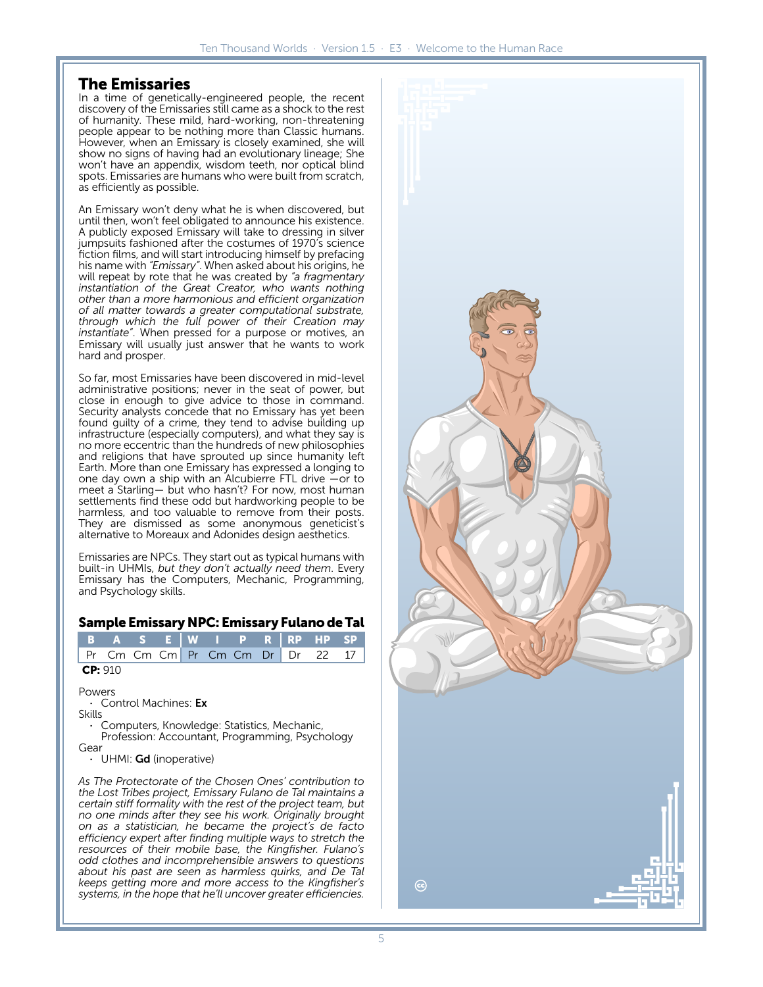# **The Emissaries**

In a time of genetically-engineered people, the recent discovery of the Emissaries still came as a shock to the rest of humanity. These mild, hard-working, non-threatening people appear to be nothing more than Classic humans. However, when an Emissary is closely examined, she will show no signs of having had an evolutionary lineage; She won't have an appendix, wisdom teeth, nor optical blind spots. Emissaries are humans who were built from scratch, as efficiently as possible.

An Emissary won't deny what he is when discovered, but until then, won't feel obligated to announce his existence. A publicly exposed Emissary will take to dressing in silver jumpsuits fashioned after the costumes of 1970's science fiction films, and will start introducing himself by prefacing his name with *"Emissary"*. When asked about his origins, he will repeat by rote that he was created by *"a fragmentary instantiation of the Great Creator, who wants nothing other than a more harmonious and efficient organization of all matter towards a greater computational substrate, through which the full power of their Creation may instantiate"*. When pressed for a purpose or motives, an Emissary will usually just answer that he wants to work hard and prosper.

So far, most Emissaries have been discovered in mid-level administrative positions; never in the seat of power, but close in enough to give advice to those in command. Security analysts concede that no Emissary has yet been found guilty of a crime, they tend to advise building up infrastructure (especially computers), and what they say is no more eccentric than the hundreds of new philosophies and religions that have sprouted up since humanity left Earth. More than one Emissary has expressed a longing to one day own a ship with an Alcubierre FTL drive —or to meet a Starling— but who hasn't? For now, most human settlements find these odd but hardworking people to be harmless, and too valuable to remove from their posts. They are dismissed as some anonymous geneticist's alternative to Moreaux and Adonides design aesthetics.

Emissaries are NPCs. They start out as typical humans with built-in UHMIs, *but they don't actually need them*. Every Emissary has the Computers, Mechanic, Programming, and Psychology skills.

#### **Sample Emissary NPC: Emissary Fulano de Tal**

|         |  |  |  |  |  |  |  |  | B A S E W I P R RP HP SP         |  |
|---------|--|--|--|--|--|--|--|--|----------------------------------|--|
|         |  |  |  |  |  |  |  |  | Pr Cm Cm Cm Pr Cm Cm Dr Dr 22 17 |  |
| CP: 910 |  |  |  |  |  |  |  |  |                                  |  |

**Powers** Control Machines: Ex

Skills

· Computers, Knowledge: Statistics, Mechanic, Profession: Accountant, Programming, Psychology Gear

UHMI: Gd (inoperative)

*As The Protectorate of the Chosen Ones' contribution to the Lost Tribes project, Emissary Fulano de Tal maintains a certain stiff formality with the rest of the project team, but no one minds after they see his work. Originally brought on as a statistician, he became the project's de facto efficiency expert after finding multiple ways to stretch the resources of their mobile base, the Kingfisher. Fulano's odd clothes and incomprehensible answers to questions about his past are seen as harmless quirks, and De Tal keeps getting more and more access to the Kingfisher's systems, in the hope that he'll uncover greater efficiencies.*

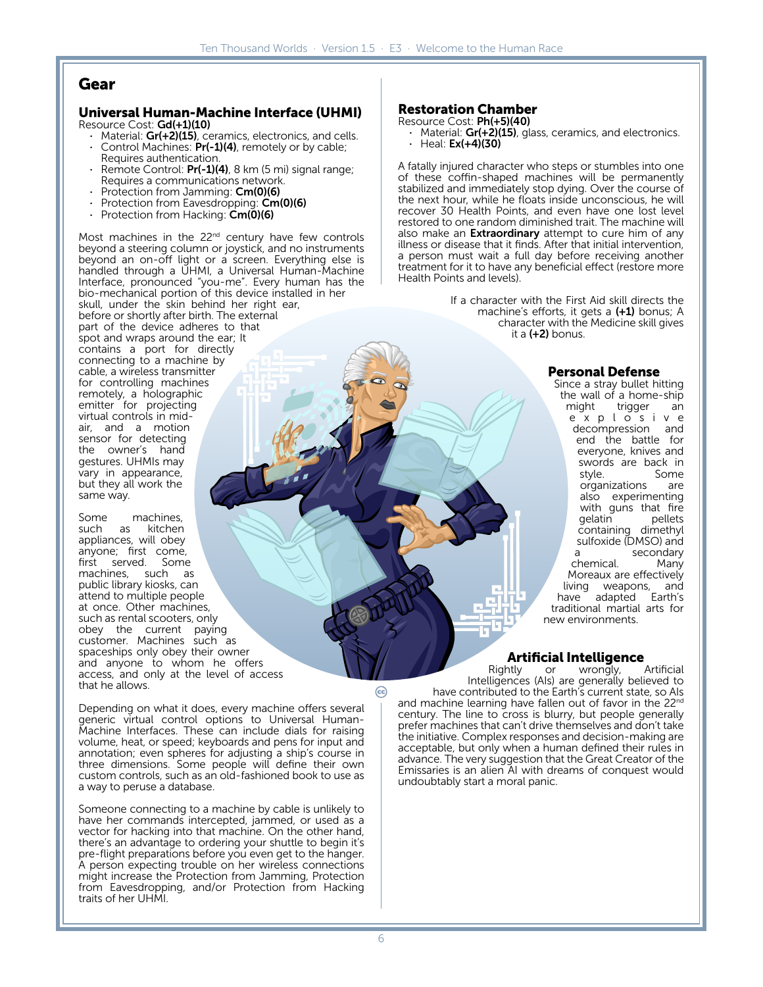# **Gear**

#### **Universal Human-Machine Interface (UHMI)** Resource Cost: Gd(+1)(10)

- Material: Gr(+2)(15), ceramics, electronics, and cells.
- Control Machines: Pr(-1)(4), remotely or by cable; Requires authentication.
- Remote Control: Pr(-1)(4), 8 km (5 mi) signal range; Requires a communications network.
- Protection from Jamming: Cm(0)(6)
- Protection from Eavesdropping: Cm(0)(6)
- Protection from Hacking: Cm(0)(6)

Most machines in the 22<sup>nd</sup> century have few controls beyond a steering column or joystick, and no instruments beyond an on-off light or a screen. Everything else is handled through a UHMI, a Universal Human-Machine Interface, pronounced "you-me". Every human has the bio-mechanical portion of this device installed in her skull, under the skin behind her right ear, before or shortly after birth. The external part of the device adheres to that spot and wraps around the ear; It contains a port for directly connecting to a machine by cable, a wireless transmitter for controlling machines remotely, a holographic emitter for projecting virtual controls in midair, and a motion sensor for detecting the owner's hand gestures. UHMIs may vary in appearance, but they all work the same way.

Some machines,<br>such as kitchen kitchen appliances, will obey anyone; first come, first served. Some machines, such as public library kiosks, can attend to multiple people at once. Other machines, such as rental scooters, only obey the current paying customer. Machines such as spaceships only obey their owner and anyone to whom he offers access, and only at the level of access that he allows.

Depending on what it does, every machine offers several generic virtual control options to Universal Human-Machine Interfaces. These can include dials for raising volume, heat, or speed; keyboards and pens for input and annotation; even spheres for adjusting a ship's course in three dimensions. Some people will define their own custom controls, such as an old-fashioned book to use as a way to peruse a database.

Someone connecting to a machine by cable is unlikely to have her commands intercepted, jammed, or used as a vector for hacking into that machine. On the other hand, there's an advantage to ordering your shuttle to begin it's pre-flight preparations before you even get to the hanger. A person expecting trouble on her wireless connections might increase the Protection from Jamming, Protection from Eavesdropping, and/or Protection from Hacking traits of her UHMI.

#### **Restoration Chamber**

#### Resource Cost: Ph(+5)(40)

· Material: Gr(+2)(15), glass, ceramics, and electronics.  $\cdot$  Heal: **Ex(+4)(30)** 

A fatally injured character who steps or stumbles into one of these coffin-shaped machines will be permanently stabilized and immediately stop dying. Over the course of the next hour, while he floats inside unconscious, he will recover 30 Health Points, and even have one lost level restored to one random diminished trait. The machine will also make an **Extraordinary** attempt to cure him of any illness or disease that it finds. After that initial intervention, a person must wait a full day before receiving another treatment for it to have any beneficial effect (restore more Health Points and levels).

> If a character with the First Aid skill directs the machine's efforts, it gets a (+1) bonus; A character with the Medicine skill gives it a  $(+2)$  bonus.

#### **Personal Defense**

Since a stray bullet hitting the wall of a home-ship<br>might trigger an trigger e x p l o s i v e decompression and end the battle for everyone, knives and swords are back in<br>style. Some Some<br>are organizations also experimenting with guns that fire<br>gelatin pellets qelatin containing dimethyl sulfoxide (DMSO) and secondary<br>Many chemical. Moreaux are effectively living weapons, and have adapted Earth's traditional martial arts for new environments.

# **Artificial Intelligence**

Rightly or wrongly, Artificial Intelligences (AIs) are generally believed to have contributed to the Earth's current state, so AIs and machine learning have fallen out of favor in the 22nd century. The line to cross is blurry, but people generally prefer machines that can't drive themselves and don't take the initiative. Complex responses and decision-making are acceptable, but only when a human defined their rules in advance. The very suggestion that the Great Creator of the Emissaries is an alien AI with dreams of conquest would undoubtably start a moral panic.

ල